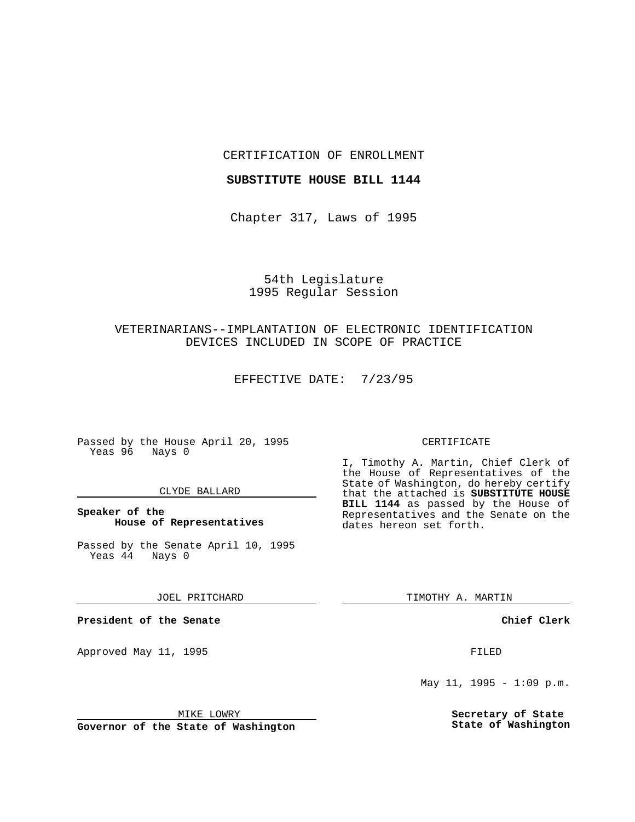CERTIFICATION OF ENROLLMENT

#### **SUBSTITUTE HOUSE BILL 1144**

Chapter 317, Laws of 1995

# 54th Legislature 1995 Regular Session

# VETERINARIANS--IMPLANTATION OF ELECTRONIC IDENTIFICATION DEVICES INCLUDED IN SCOPE OF PRACTICE

EFFECTIVE DATE: 7/23/95

Passed by the House April 20, 1995 Yeas 96 Nays 0

#### CLYDE BALLARD

### **Speaker of the House of Representatives**

Passed by the Senate April 10, 1995<br>Yeas 44 Nays 0  $Yeas$  44

JOEL PRITCHARD

**President of the Senate**

Approved May 11, 1995 FILED

#### MIKE LOWRY

**Governor of the State of Washington**

#### CERTIFICATE

I, Timothy A. Martin, Chief Clerk of the House of Representatives of the State of Washington, do hereby certify that the attached is **SUBSTITUTE HOUSE BILL 1144** as passed by the House of Representatives and the Senate on the dates hereon set forth.

TIMOTHY A. MARTIN

### **Chief Clerk**

May  $11$ ,  $1995 - 1:09$  p.m.

**Secretary of State State of Washington**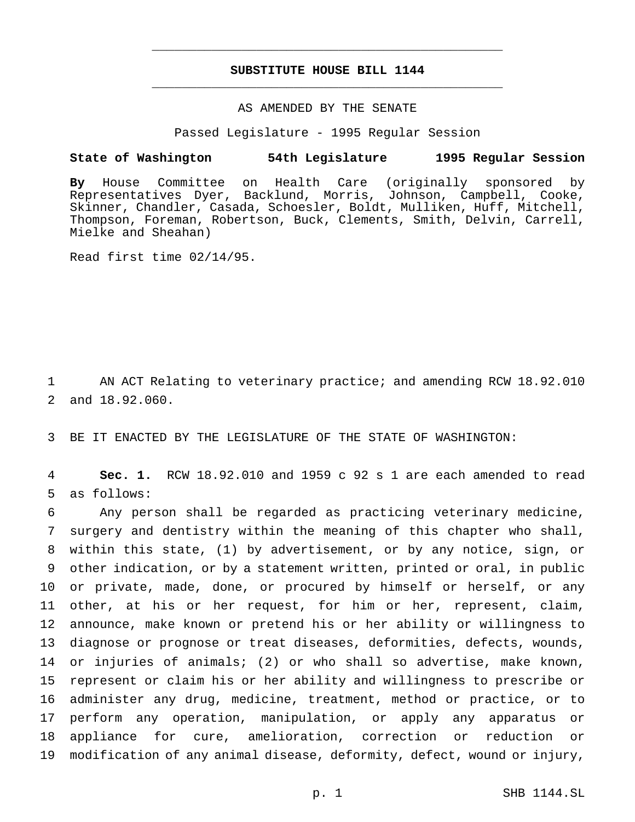### **SUBSTITUTE HOUSE BILL 1144** \_\_\_\_\_\_\_\_\_\_\_\_\_\_\_\_\_\_\_\_\_\_\_\_\_\_\_\_\_\_\_\_\_\_\_\_\_\_\_\_\_\_\_\_\_\_\_

\_\_\_\_\_\_\_\_\_\_\_\_\_\_\_\_\_\_\_\_\_\_\_\_\_\_\_\_\_\_\_\_\_\_\_\_\_\_\_\_\_\_\_\_\_\_\_

# AS AMENDED BY THE SENATE

Passed Legislature - 1995 Regular Session

#### **State of Washington 54th Legislature 1995 Regular Session**

**By** House Committee on Health Care (originally sponsored by Representatives Dyer, Backlund, Morris, Johnson, Campbell, Cooke, Skinner, Chandler, Casada, Schoesler, Boldt, Mulliken, Huff, Mitchell, Thompson, Foreman, Robertson, Buck, Clements, Smith, Delvin, Carrell, Mielke and Sheahan)

Read first time 02/14/95.

1 AN ACT Relating to veterinary practice; and amending RCW 18.92.010 2 and 18.92.060.

3 BE IT ENACTED BY THE LEGISLATURE OF THE STATE OF WASHINGTON:

4 **Sec. 1.** RCW 18.92.010 and 1959 c 92 s 1 are each amended to read 5 as follows:

 Any person shall be regarded as practicing veterinary medicine, surgery and dentistry within the meaning of this chapter who shall, within this state, (1) by advertisement, or by any notice, sign, or other indication, or by a statement written, printed or oral, in public or private, made, done, or procured by himself or herself, or any other, at his or her request, for him or her, represent, claim, announce, make known or pretend his or her ability or willingness to diagnose or prognose or treat diseases, deformities, defects, wounds, or injuries of animals; (2) or who shall so advertise, make known, represent or claim his or her ability and willingness to prescribe or administer any drug, medicine, treatment, method or practice, or to perform any operation, manipulation, or apply any apparatus or appliance for cure, amelioration, correction or reduction or modification of any animal disease, deformity, defect, wound or injury,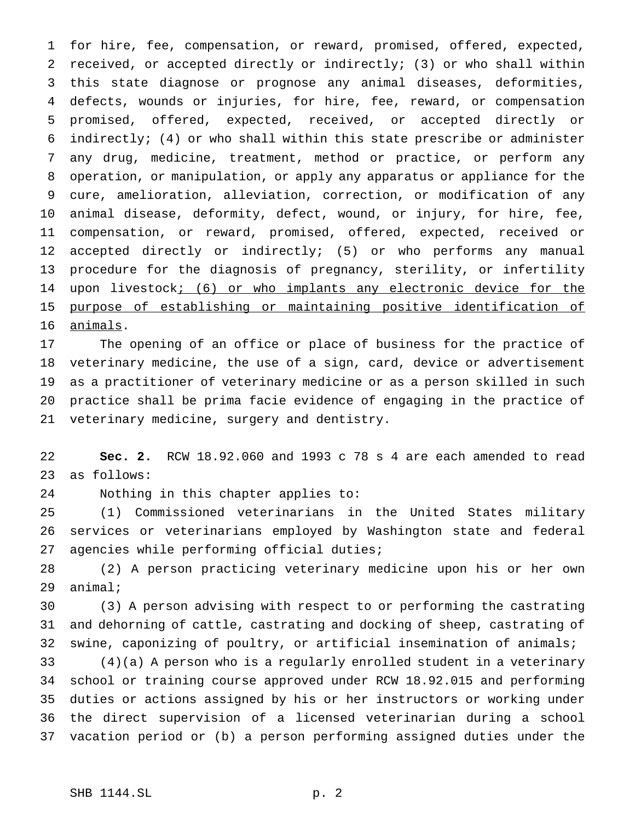for hire, fee, compensation, or reward, promised, offered, expected, received, or accepted directly or indirectly; (3) or who shall within this state diagnose or prognose any animal diseases, deformities, defects, wounds or injuries, for hire, fee, reward, or compensation promised, offered, expected, received, or accepted directly or indirectly; (4) or who shall within this state prescribe or administer any drug, medicine, treatment, method or practice, or perform any operation, or manipulation, or apply any apparatus or appliance for the cure, amelioration, alleviation, correction, or modification of any animal disease, deformity, defect, wound, or injury, for hire, fee, compensation, or reward, promised, offered, expected, received or accepted directly or indirectly; (5) or who performs any manual procedure for the diagnosis of pregnancy, sterility, or infertility 14 upon livestock; (6) or who implants any electronic device for the purpose of establishing or maintaining positive identification of animals.

 The opening of an office or place of business for the practice of veterinary medicine, the use of a sign, card, device or advertisement as a practitioner of veterinary medicine or as a person skilled in such practice shall be prima facie evidence of engaging in the practice of veterinary medicine, surgery and dentistry.

 **Sec. 2.** RCW 18.92.060 and 1993 c 78 s 4 are each amended to read as follows:

Nothing in this chapter applies to:

 (1) Commissioned veterinarians in the United States military services or veterinarians employed by Washington state and federal agencies while performing official duties;

 (2) A person practicing veterinary medicine upon his or her own animal;

 (3) A person advising with respect to or performing the castrating and dehorning of cattle, castrating and docking of sheep, castrating of swine, caponizing of poultry, or artificial insemination of animals;

 (4)(a) A person who is a regularly enrolled student in a veterinary school or training course approved under RCW 18.92.015 and performing duties or actions assigned by his or her instructors or working under the direct supervision of a licensed veterinarian during a school vacation period or (b) a person performing assigned duties under the